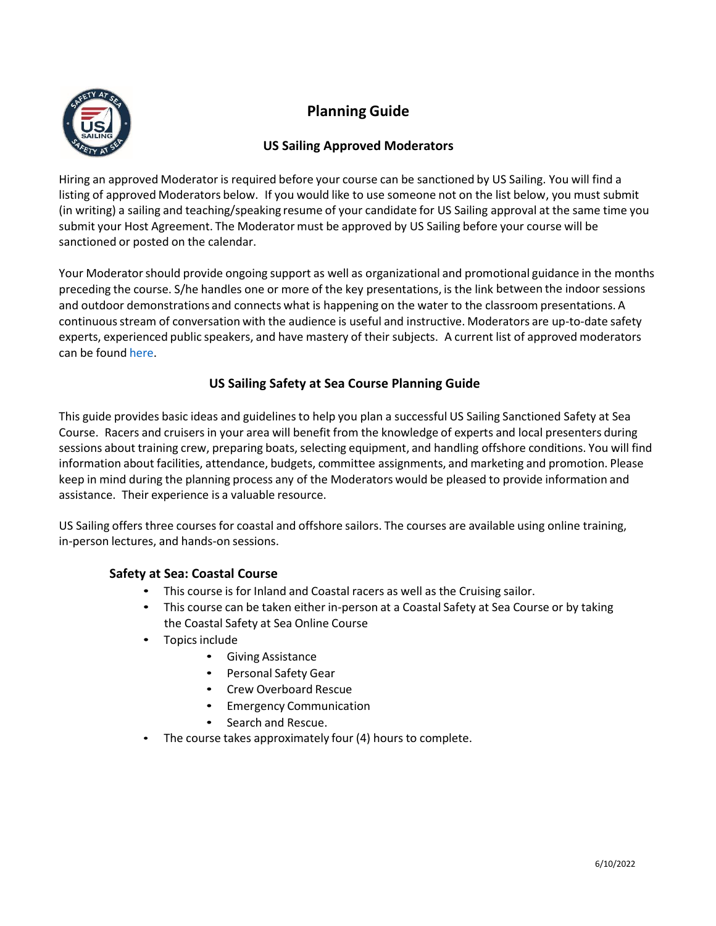

# **Planning Guide**

# **US Sailing Approved Moderators**

Hiring an approved Moderator is required before your course can be sanctioned by US Sailing. You will find a listing of approved Moderators below. If you would like to use someone not on the list below, you must submit (in writing) a sailing and teaching/speaking resume of your candidate for US Sailing approval at the same time you submit your Host Agreement. The Moderator must be approved by US Sailing before your course will be sanctioned or posted on the calendar.

Your Moderatorshould provide ongoing support as well as organizational and promotional guidance in the months preceding the course. S/he handles one or more of the key presentations, is the link between the indoorsessions and outdoor demonstrations and connects what is happening on the water to the classroom presentations. A continuousstream of conversation with the audience is useful and instructive. Moderators are up-to-date safety experts, experienced public speakers, and have mastery of their subjects. A current list of approved moderators can be found [here.](https://www.ussailing.org/education/adult/safety-at-sea-courses/us-sailing-approved-moderators/)

# **US Sailing Safety at Sea Course Planning Guide**

This guide provides basic ideas and guidelinesto help you plan a successful US Sailing Sanctioned Safety at Sea Course. Racers and cruisersin your area will benefit from the knowledge of experts and local presenters during sessions about training crew, preparing boats, selecting equipment, and handling offshore conditions. You will find information about facilities, attendance, budgets, committee assignments, and marketing and promotion. Please keep in mind during the planning process any of the Moderators would be pleased to provide information and assistance. Their experience is a valuable resource.

US Sailing offers three courses for coastal and offshore sailors. The courses are available using online training, in-person lectures, and hands-on sessions.

# **Safety at Sea: Coastal Course**

- This course is for Inland and Coastal racers as well as the Cruising sailor.
- This course can be taken either in-person at a Coastal Safety at Sea Course or by taking the Coastal Safety at Sea Online Course
- Topics include
	- Giving Assistance
	- Personal Safety Gear
	- Crew Overboard Rescue
	- Emergency Communication
	- Search and Rescue.
- The course takes approximately four (4) hours to complete.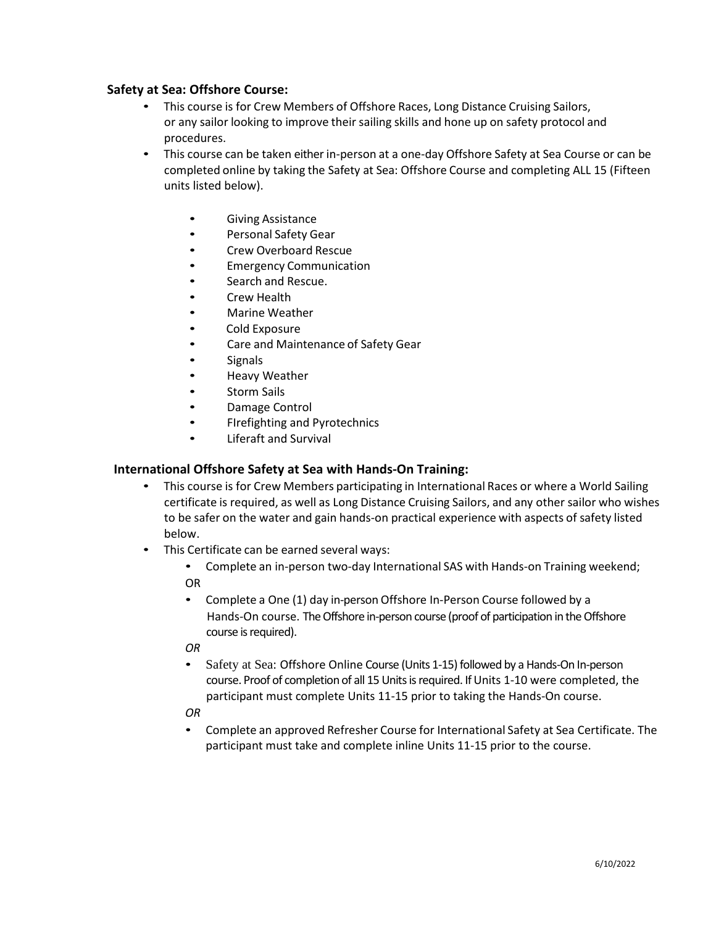## **Safety at Sea: Offshore Course:**

- This course is for Crew Members of Offshore Races, Long Distance Cruising Sailors, or any sailor looking to improve their sailing skills and hone up on safety protocol and procedures.
- This course can be taken either in-person at a one-day Offshore Safety at Sea Course or can be completed online by taking the Safety at Sea: Offshore Course and completing ALL 15 (Fifteen units listed below).
	- Giving Assistance
	- Personal Safety Gear
	- Crew Overboard Rescue
	- Emergency Communication
	- Search and Rescue.
	- **Crew Health**
	- Marine Weather
	- Cold Exposure
	- Care and Maintenance of Safety Gear
	- Signals
	- Heavy Weather
	- Storm Sails
	- Damage Control
	- FIrefighting and Pyrotechnics
	- Liferaft and Survival

## **International Offshore Safety at Sea with Hands-On Training:**

- This course is for Crew Members participating in International Races or where a World Sailing certificate is required, as well as Long Distance Cruising Sailors, and any other sailor who wishes to be safer on the water and gain hands-on practical experience with aspects of safety listed below.
- This Certificate can be earned several ways:
	- Complete an in-person two-day International SAS with Hands-on Training weekend; OR
	- Complete a One (1) day in-person Offshore In-Person Course followed by a Hands-On course. The Offshore in-person course (proof of participation in the Offshore course is required).
	- *OR*
	- Safety at Sea: Offshore Online Course (Units 1-15) followed by a Hands-On In-person course. Proof of completion of all 15 Units is required. If Units 1-10 were completed, the participant must complete Units 11-15 prior to taking the Hands-On course.
	- *OR*
	- Complete an approved Refresher Course for International Safety at Sea Certificate. The participant must take and complete inline Units 11-15 prior to the course.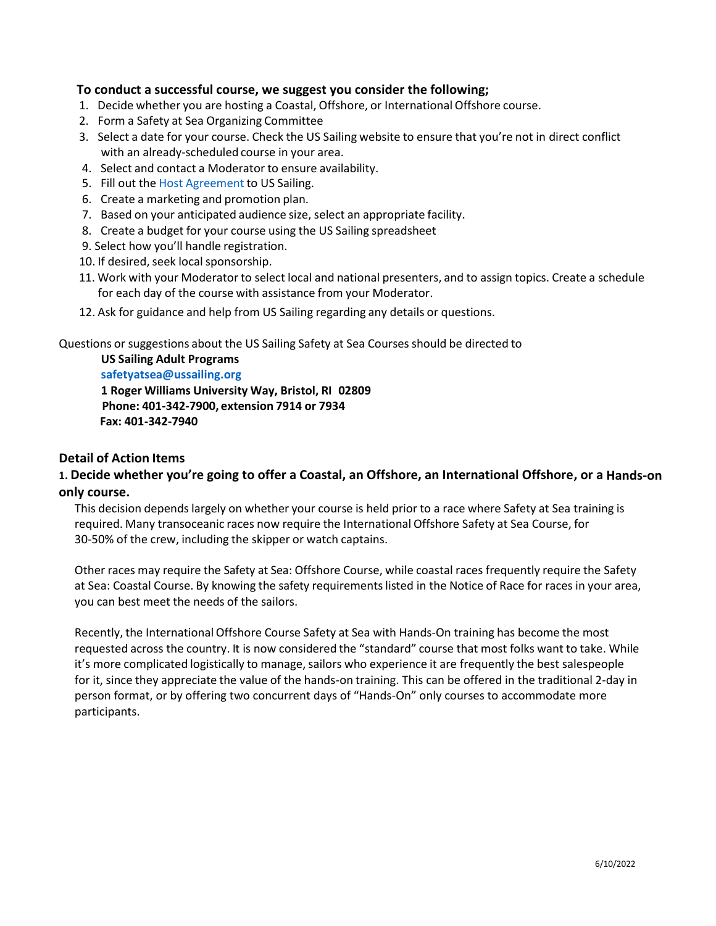## **To conduct a successful course, we suggest you consider the following;**

- 1. Decide whether you are hosting a Coastal, Offshore, or International Offshore course.
- 2. Form a Safety at Sea Organizing Committee
- 3. Select a date for your course. Check the US Sailing website to ensure that you're not in direct conflict with an already-scheduled course in your area.
- 4. Select and contact a Moderator to ensure availability.
- 5. Fill out the Host [Agreement](https://form.jotform.com/221595152371151) to US Sailing.
- 6. Create a marketing and promotion plan.
- 7. Based on your anticipated audience size, select an appropriate facility.
- 8. Create a budget for your course using the US Sailing spreadsheet
- 9. Select how you'll handle registration.
- 10. If desired, seek local sponsorship.
- 11. Work with your Moderatorto select local and national presenters, and to assign topics. Create a schedule for each day of the course with assistance from your Moderator.
- 12. Ask for guidance and help from US Sailing regarding any details or questions.

Questions or suggestions about the US Sailing Safety at Sea Courses should be directed to

#### **US Sailing Adult Programs**

**[safetyatsea@ussailing.org](mailto:safetyatsea@ussailing.org) 1 Roger Williams University Way, Bristol, RI 02809 Phone: 401-342-7900, extension 7914 or 7934 Fax: 401-342-7940**

## **Detail of Action Items**

# **1. Decide whether you're going to offer a Coastal, an Offshore, an International Offshore, or a Hands-on only course.**

This decision dependslargely on whether your course is held prior to a race where Safety at Sea training is required. Many transoceanic races now require the International Offshore Safety at Sea Course, for 30-50% of the crew, including the skipper or watch captains.

Other races may require the Safety at Sea: Offshore Course, while coastal races frequently require the Safety at Sea: Coastal Course. By knowing the safety requirementslisted in the Notice of Race for races in your area, you can best meet the needs of the sailors.

Recently, the InternationalOffshore Course Safety at Sea with Hands-On training has become the most requested across the country. It is now considered the "standard" course that most folks want to take. While it's more complicated logistically to manage, sailors who experience it are frequently the best salespeople for it, since they appreciate the value of the hands-on training. This can be offered in the traditional 2-day in person format, or by offering two concurrent days of "Hands-On" only courses to accommodate more participants.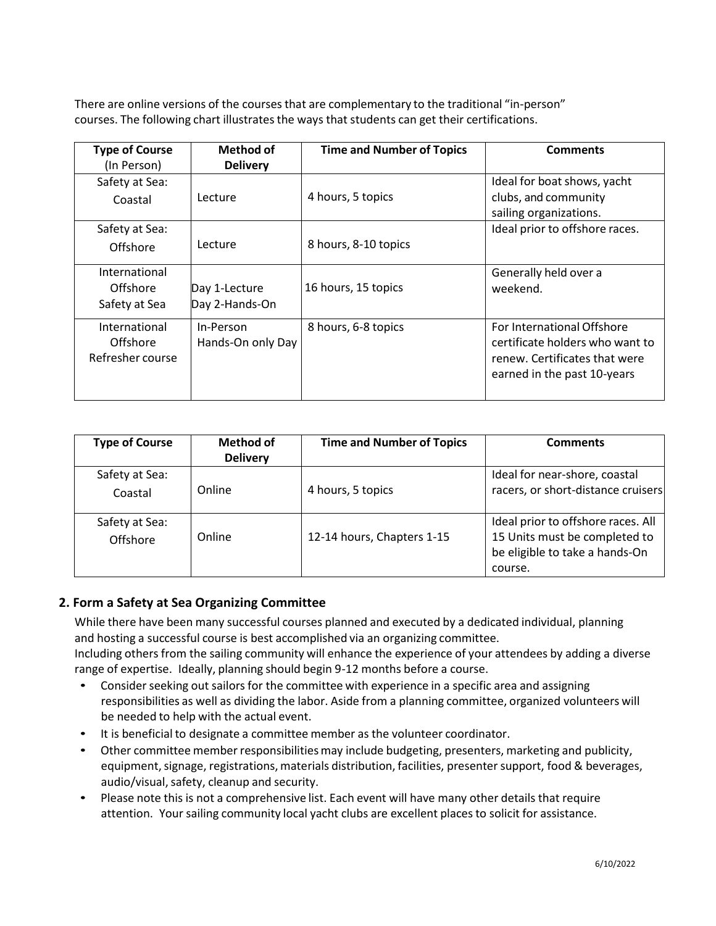There are online versions of the coursesthat are complementary to the traditional "in-person" courses. The following chart illustrates the ways that students can get their certifications.

| <b>Type of Course</b> | <b>Method of</b>  | <b>Time and Number of Topics</b> | <b>Comments</b>                 |
|-----------------------|-------------------|----------------------------------|---------------------------------|
| (In Person)           | <b>Delivery</b>   |                                  |                                 |
| Safety at Sea:        |                   |                                  | Ideal for boat shows, yacht     |
| Coastal               | Lecture           | 4 hours, 5 topics                | clubs, and community            |
|                       |                   |                                  | sailing organizations.          |
| Safety at Sea:        |                   |                                  | Ideal prior to offshore races.  |
| Offshore              | Lecture           | 8 hours, 8-10 topics             |                                 |
|                       |                   |                                  |                                 |
| International         |                   |                                  | Generally held over a           |
| Offshore              | Day 1-Lecture     | 16 hours, 15 topics              | weekend.                        |
| Safety at Sea         | Day 2-Hands-On    |                                  |                                 |
| International         | In-Person         | 8 hours, 6-8 topics              | For International Offshore      |
| Offshore              | Hands-On only Day |                                  | certificate holders who want to |
| Refresher course      |                   |                                  | renew. Certificates that were   |
|                       |                   |                                  | earned in the past 10-years     |
|                       |                   |                                  |                                 |

| <b>Type of Course</b>      | <b>Method of</b> | <b>Time and Number of Topics</b> | <b>Comments</b>                                                                                                  |
|----------------------------|------------------|----------------------------------|------------------------------------------------------------------------------------------------------------------|
|                            | <b>Delivery</b>  |                                  |                                                                                                                  |
| Safety at Sea:             |                  |                                  | Ideal for near-shore, coastal                                                                                    |
| Coastal                    | Online           | 4 hours, 5 topics                | racers, or short-distance cruisers                                                                               |
| Safety at Sea:<br>Offshore | Online           | 12-14 hours, Chapters 1-15       | Ideal prior to offshore races. All<br>15 Units must be completed to<br>be eligible to take a hands-On<br>course. |

# **2. Form a Safety at Sea Organizing Committee**

While there have been many successful courses planned and executed by a dedicated individual, planning and hosting a successful course is best accomplished via an organizing committee.

Including others from the sailing community will enhance the experience of your attendees by adding a diverse range of expertise. Ideally, planning should begin 9-12 months before a course.

- Consider seeking out sailors for the committee with experience in a specific area and assigning responsibilities as well as dividing the labor. Aside from a planning committee, organized volunteers will be needed to help with the actual event.
- It is beneficial to designate a committee member as the volunteer coordinator.
- Other committee member responsibilitiesmay include budgeting, presenters, marketing and publicity, equipment, signage, registrations, materials distribution, facilities, presenter support, food & beverages, audio/visual, safety, cleanup and security.
- Please note this is not a comprehensive list. Each event will have many other details that require attention. Your sailing community local yacht clubs are excellent places to solicit for assistance.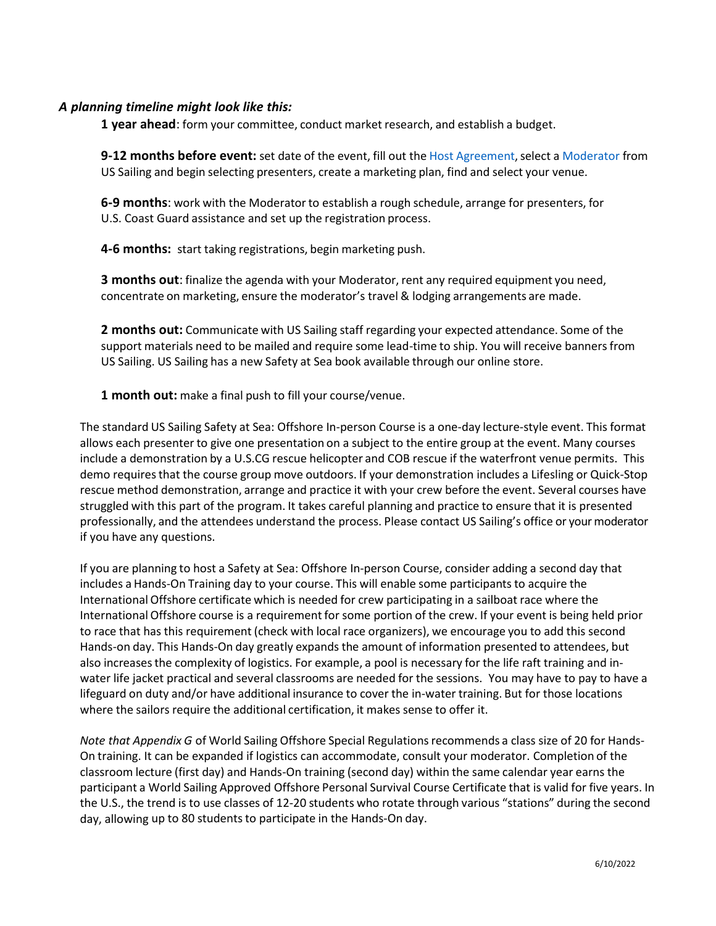## *A planning timeline might look like this:*

**1 year ahead**: form your committee, conduct market research, and establish a budget.

**9-12 months before event:** set date of the event, fill out the Host [Agreement,](https://form.jotform.com/221595152371151)select a [Moderator](https://www.ussailing.org/education/adult/safety-at-sea-courses/us-sailing-approved-moderators/) from US Sailing and begin selecting presenters, create a marketing plan, find and select your venue.

**6-9 months**: work with the Moderator to establish a rough schedule, arrange for presenters, for U.S. Coast Guard assistance and set up the registration process.

**4-6 months:** start taking registrations, begin marketing push.

**3 months out**: finalize the agenda with your Moderator, rent any required equipment you need, concentrate on marketing, ensure the moderator's travel & lodging arrangements are made.

**2 months out:** Communicate with US Sailing staff regarding your expected attendance. Some of the support materials need to be mailed and require some lead-time to ship. You will receive bannersfrom US Sailing. US Sailing has a new Safety at Sea book available through our online store.

**1 month out:** make a final push to fill your course/venue.

The standard US Sailing Safety at Sea: Offshore In-person Course is a one-day lecture-style event. This format allows each presenter to give one presentation on a subject to the entire group at the event. Many courses include a demonstration by a U.S.CG rescue helicopter and COB rescue if the waterfront venue permits. This demo requiresthat the course group move outdoors. If your demonstration includes a Lifesling or Quick-Stop rescue method demonstration, arrange and practice it with your crew before the event. Several courses have struggled with this part of the program. It takes careful planning and practice to ensure that it is presented professionally, and the attendees understand the process. Please contact US Sailing's office or your moderator if you have any questions.

If you are planning to host a Safety at Sea: Offshore In-person Course, consider adding a second day that includes a Hands-On Training day to your course. This will enable some participants to acquire the International Offshore certificate which is needed for crew participating in a sailboat race where the International Offshore course is a requirement for some portion of the crew. If your event is being held prior to race that has this requirement (check with local race organizers), we encourage you to add this second Hands-on day. This Hands-On day greatly expands the amount of information presented to attendees, but also increasesthe complexity of logistics. For example, a pool is necessary for the life raft training and inwater life jacket practical and several classrooms are needed for the sessions. You may have to pay to have a lifeguard on duty and/or have additional insurance to cover the in-water training. But for those locations where the sailors require the additional certification, it makes sense to offer it.

*Note that Appendix G* of World Sailing Offshore Special Regulationsrecommends a class size of 20 for Hands-On training. It can be expanded if logistics can accommodate, consult your moderator. Completion of the classroom lecture (first day) and Hands-On training (second day) within the same calendar year earns the participant a World Sailing Approved Offshore Personal Survival Course Certificate that is valid for five years. In the U.S., the trend is to use classes of 12-20 students who rotate through various "stations" during the second day, allowing up to 80 students to participate in the Hands-On day.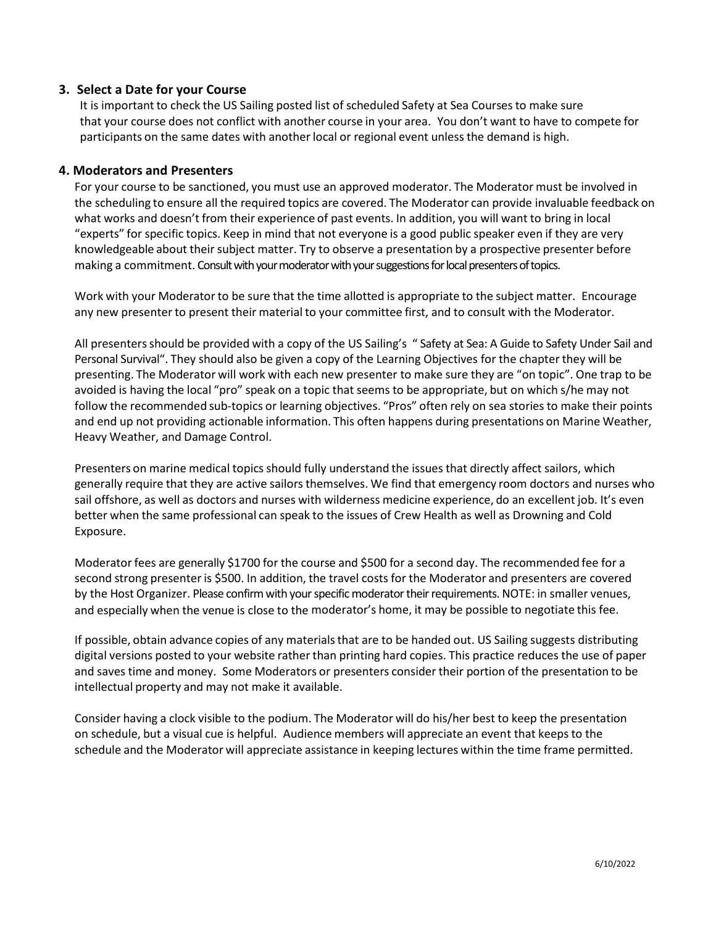## **3. Select a Date for your Course**

It is important to check the US Sailing posted list of scheduled Safety at Sea Courses to make sure that your course does not conflict with another course in your area. You don't want to have to compete for participants on the same dates with another local or regional event unless the demand is high.

## **4. Moderators and Presenters**

For your course to be sanctioned, you must use an approved moderator. The Moderator must be involved in the scheduling to ensure all the required topics are covered. The Moderator can provide invaluable feedback on what works and doesn't from their experience of past events. In addition, you will want to bring in local "experts" for specific topics. Keep in mind that not everyone is a good public speaker even if they are very knowledgeable about their subject matter. Try to observe a presentation by a prospective presenter before making a commitment. Consult with your moderator with your suggestions for local presenters of topics.

Work with your Moderator to be sure that the time allotted is appropriate to the subject matter. Encourage any new presenter to present their material to your committee first, and to consult with the Moderator.

All presentersshould be provided with a copy of the US Sailing's " Safety at Sea: A Guide to Safety Under Sail and Personal Survival". They should also be given a copy of the Learning Objectives for the chapter they will be presenting. The Moderator will work with each new presenter to make sure they are "on topic". One trap to be avoided is having the local "pro" speak on a topic that seems to be appropriate, but on which s/he may not follow the recommended sub-topics or learning objectives. "Pros" often rely on sea stories to make their points and end up not providing actionable information. This often happens during presentations on Marine Weather, Heavy Weather, and Damage Control.

Presenters on marine medical topics should fully understand the issues that directly affect sailors, which generally require that they are active sailors themselves. We find that emergency room doctors and nurses who sail offshore, as well as doctors and nurses with wilderness medicine experience, do an excellent job. It's even better when the same professional can speak to the issues of Crew Health as well as Drowning and Cold Exposure.

Moderator fees are generally \$1700 for the course and \$500 for a second day. The recommended fee for a second strong presenter is \$500. In addition, the travel costs for the Moderator and presenters are covered by the Host Organizer. Please confirm with your specific moderator their requirements. NOTE: in smaller venues, and especially when the venue is close to the moderator's home, it may be possible to negotiate this fee.

If possible, obtain advance copies of any materials that are to be handed out. US Sailing suggests distributing digital versions posted to your website rather than printing hard copies. This practice reduces the use of paper and saves time and money. Some Moderators or presenters consider their portion of the presentation to be intellectual property and may not make it available.

Consider having a clock visible to the podium. The Moderator will do his/her best to keep the presentation on schedule, but a visual cue is helpful. Audience members will appreciate an event that keepsto the schedule and the Moderator will appreciate assistance in keeping lectures within the time frame permitted.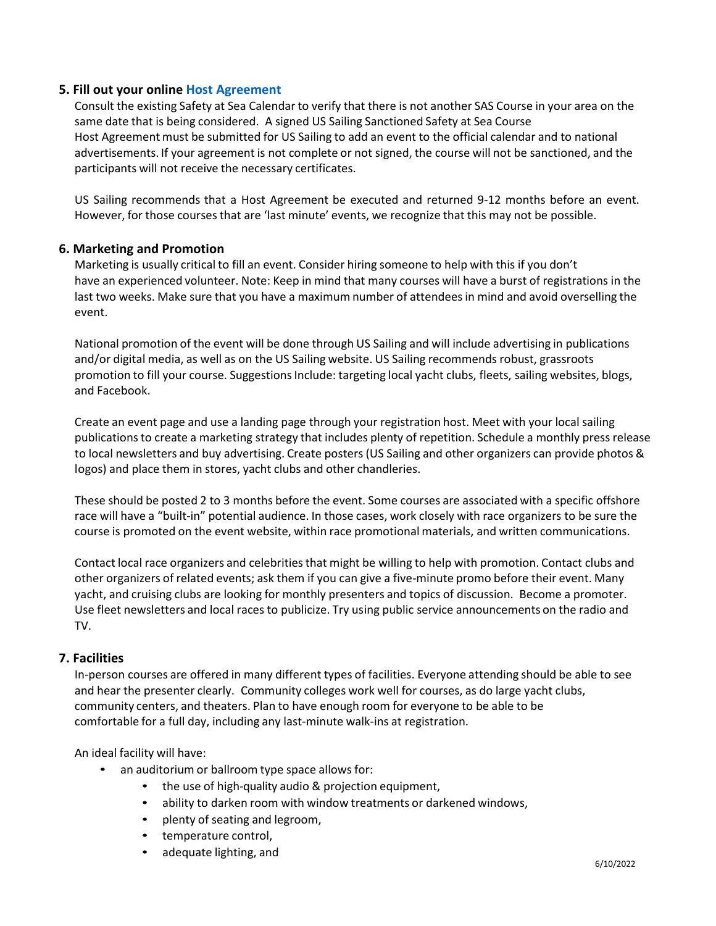## **5. Fill out your online Host [Agreement](https://form.jotform.com/221595152371151)**

Consult the existing Safety at Sea Calendar to verify that there is not another SAS Course in your area on the same date that is being considered. A signed US Sailing Sanctioned Safety at Sea Course Host Agreement must be submitted for US Sailing to add an event to the official calendar and to national advertisements. If your agreement is not complete or not signed, the course will not be sanctioned, and the participants will not receive the necessary certificates.

US Sailing recommends that a Host Agreement be executed and returned 9-12 months before an event. However, for those coursesthat are 'last minute' events, we recognize that this may not be possible.

#### **6. Marketing and Promotion**

Marketing is usually critical to fill an event. Consider hiring someone to help with this if you don't have an experienced volunteer. Note: Keep in mind that many courses will have a burst of registrations in the last two weeks. Make sure that you have a maximum number of attendeesin mind and avoid overselling the event.

National promotion of the event will be done through US Sailing and will include advertising in publications and/or digital media, as well as on the US Sailing website. US Sailing recommends robust, grassroots promotion to fill your course. Suggestions Include: targeting local yacht clubs, fleets, sailing websites, blogs, and Facebook.

Create an event page and use a landing page through your registration host. Meet with your local sailing publicationsto create a marketing strategy that includes plenty of repetition. Schedule a monthly press release to local newsletters and buy advertising. Create posters (US Sailing and other organizers can provide photos & logos) and place them in stores, yacht clubs and other chandleries.

These should be posted 2 to 3 months before the event. Some courses are associated with a specific offshore race will have a "built-in" potential audience. In those cases, work closely with race organizers to be sure the course is promoted on the event website, within race promotional materials, and written communications.

Contact local race organizers and celebrities that might be willing to help with promotion. Contact clubs and other organizers of related events; ask them if you can give a five-minute promo before their event. Many yacht, and cruising clubs are looking for monthly presenters and topics of discussion. Become a promoter. Use fleet newsletters and local races to publicize. Try using public service announcements on the radio and TV.

## **7. Facilities**

In-person courses are offered in many different types of facilities. Everyone attending should be able to see and hear the presenter clearly. Community colleges work well for courses, as do large yacht clubs, community centers, and theaters. Plan to have enough room for everyone to be able to be comfortable for a full day, including any last-minute walk-ins at registration.

An ideal facility will have:

- an auditorium or ballroom type space allows for:
	- the use of high-quality audio & projection equipment,
	- ability to darken room with window treatments or darkened windows,
	- plenty of seating and legroom,
	- temperature control,
	- adequate lighting, and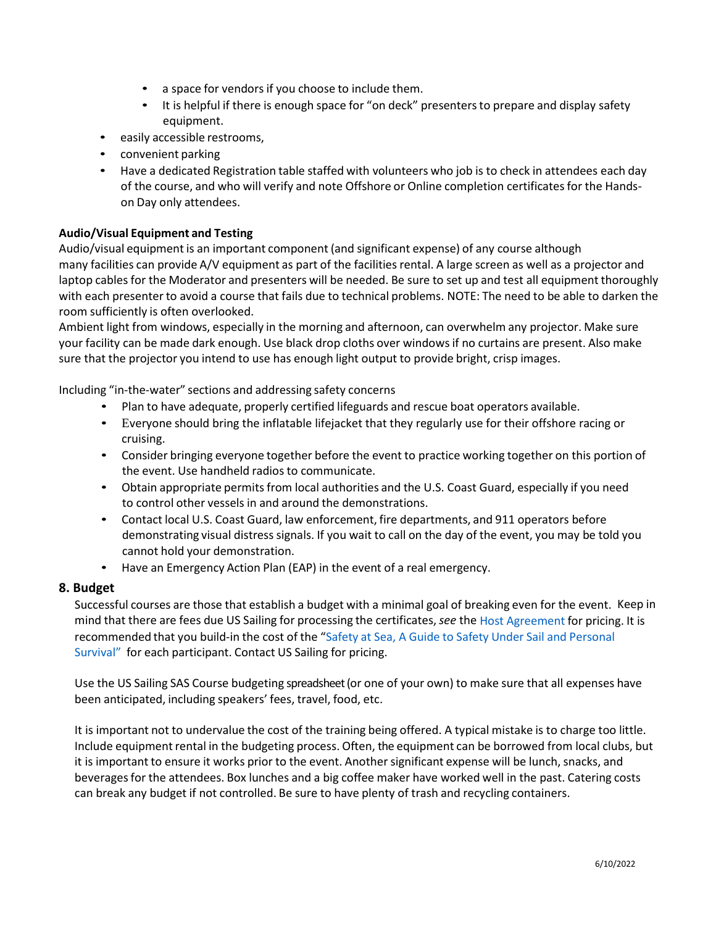- a space for vendors if you choose to include them.
- It is helpful if there is enough space for "on deck" presenters to prepare and display safety equipment.
- easily accessible restrooms,
- convenient parking
- Have a dedicated Registration table staffed with volunteers who job is to check in attendees each day of the course, and who will verify and note Offshore or Online completion certificatesfor the Handson Day only attendees.

## **Audio/Visual Equipment and Testing**

Audio/visual equipment is an important component (and significant expense) of any course although many facilities can provide A/V equipment as part of the facilities rental. A large screen as well as a projector and laptop cables for the Moderator and presenters will be needed. Be sure to set up and test all equipment thoroughly with each presenter to avoid a course that fails due to technical problems. NOTE: The need to be able to darken the room sufficiently is often overlooked.

Ambient light from windows, especially in the morning and afternoon, can overwhelm any projector. Make sure your facility can be made dark enough. Use black drop cloths over windowsif no curtains are present. Also make sure that the projector you intend to use has enough light output to provide bright, crisp images.

Including "in-the-water" sections and addressing safety concerns

- Plan to have adequate, properly certified lifeguards and rescue boat operators available.
- Everyone should bring the inflatable lifejacket that they regularly use for their offshore racing or cruising.
- Consider bringing everyone together before the event to practice working together on this portion of the event. Use handheld radios to communicate.
- Obtain appropriate permits from local authorities and the U.S. Coast Guard, especially if you need to control other vessels in and around the demonstrations.
- Contact local U.S. Coast Guard, law enforcement, fire departments, and 911 operators before demonstrating visual distress signals. If you wait to call on the day of the event, you may be told you cannot hold your demonstration.
- Have an Emergency Action Plan (EAP) in the event of a real emergency.

## **8. Budget**

Successful courses are those that establish a budget with a minimal goal of breaking even for the event. Keep in mind that there are fees due US Sailing for processing the certificates, *see* the Host [Agreement](https://form.jotform.com/221595152371151) for pricing. It is recommended that you build-in the cost of the "[Safety](https://shop.ussailing.org/shop/safety-at-sea-a-guide-to-safety-under-sail-and-personal-survival/) at Sea, A Guide to Safety Under Sail and [Personal](https://shop.ussailing.org/safety-at-sea-a-guide-to-safety-under-sail-and-per.html) [Survival](https://shop.ussailing.org/safety-at-sea-a-guide-to-safety-under-sail-and-per.html)" for each participant. Contact US Sailing for pricing.

Use the US Sailing SAS Course budgeting spreadsheet (or one of your own) to make sure that all expenses have been anticipated, including speakers' fees, travel, food, etc.

It is important not to undervalue the cost of the training being offered. A typical mistake is to charge too little. Include equipment rental in the budgeting process. Often, the equipment can be borrowed from local clubs, but it is important to ensure it works prior to the event. Another significant expense will be lunch, snacks, and beveragesfor the attendees. Box lunches and a big coffee maker have worked well in the past. Catering costs can break any budget if not controlled. Be sure to have plenty of trash and recycling containers.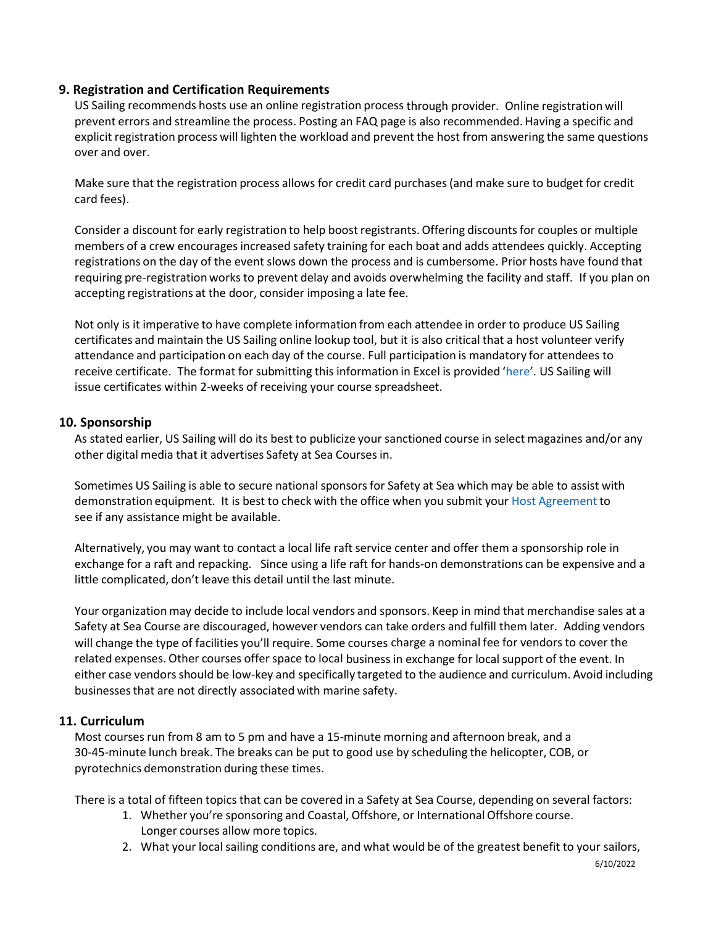# **9. Registration and Certification Requirements**

US Sailing recommends hosts use an online registration process through provider. Online registration will prevent errors and streamline the process. Posting an FAQ page is also recommended. Having a specific and explicit registration process will lighten the workload and prevent the host from answering the same questions over and over.

Make sure that the registration process allows for credit card purchases(and make sure to budget for credit card fees).

Consider a discount for early registration to help boost registrants.Offering discountsfor couples or multiple members of a crew encourages increased safety training for each boat and adds attendees quickly. Accepting registrations on the day of the event slows down the process and is cumbersome. Prior hosts have found that requiring pre-registration works to prevent delay and avoids overwhelming the facility and staff. If you plan on accepting registrations at the door, consider imposing a late fee.

Not only is it imperative to have complete information from each attendee in order to produce US Sailing certificates and maintain the US Sailing online lookup tool, but it is also critical that a host volunteer verify attendance and participation on each day of the course. Full participation is mandatory for attendees to receive certificate. The format for submitting this information in Excel is provided '[here](https://www.ussailing.org/wp-content/uploads/2018/01/SAS-roster-template.xlsx)'. US Sailing will issue certificates within 2-weeks of receiving your course spreadsheet.

## **10. Sponsorship**

As stated earlier, US Sailing will do its best to publicize your sanctioned course in select magazines and/or any other digital media that it advertises Safety at Sea Courses in.

Sometimes US Sailing is able to secure national sponsors for Safety at Sea which may be able to assist with demonstration equipment. It is best to check with the office when you submit your Host [Agreement](https://form.jotform.com/221595152371151) to see if any assistance might be available.

Alternatively, you may want to contact a local life raft service center and offer them a sponsorship role in exchange for a raft and repacking. Since using a life raft for hands-on demonstrations can be expensive and a little complicated, don't leave this detail until the last minute.

Your organizationmay decide to include local vendors and sponsors. Keep in mind that merchandise sales at a Safety at Sea Course are discouraged, however vendors can take orders and fulfill them later. Adding vendors will change the type of facilities you'll require. Some courses charge a nominal fee for vendors to cover the related expenses. Other courses offer space to local business in exchange for local support of the event. In either case vendors should be low-key and specifically targeted to the audience and curriculum. Avoid including businessesthat are not directly associated with marine safety.

## **11. Curriculum**

Most courses run from 8 am to 5 pm and have a 15-minute morning and afternoon break, and a 30-45-minute lunch break. The breaks can be put to good use by scheduling the helicopter, COB, or pyrotechnics demonstration during these times.

There is a total of fifteen topics that can be covered in a Safety at Sea Course, depending on several factors:

- 1. Whether you're sponsoring and Coastal, Offshore, or International Offshore course. Longer courses allow more topics.
- 2. What your local sailing conditions are, and what would be of the greatest benefit to your sailors,